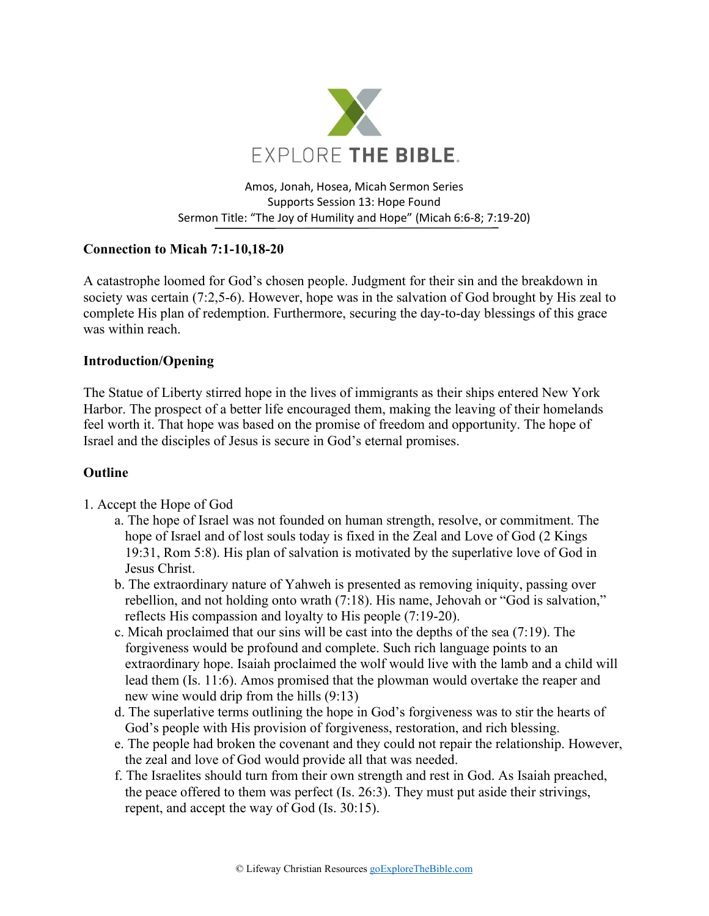

Amos, Jonah, Hosea, Micah Sermon Series Supports Session 13: Hope Found Sermon Title: "The Joy of Humility and Hope" (Micah 6:6-8; 7:19-20)

# **Connection to Micah 7:1-10,18-20**

A catastrophe loomed for God's chosen people. Judgment for their sin and the breakdown in society was certain (7:2,5-6). However, hope was in the salvation of God brought by His zeal to complete His plan of redemption. Furthermore, securing the day-to-day blessings of this grace was within reach.

### **Introduction/Opening**

The Statue of Liberty stirred hope in the lives of immigrants as their ships entered New York Harbor. The prospect of a better life encouraged them, making the leaving of their homelands feel worth it. That hope was based on the promise of freedom and opportunity. The hope of Israel and the disciples of Jesus is secure in God's eternal promises.

## **Outline**

- 1. Accept the Hope of God
	- a. The hope of Israel was not founded on human strength, resolve, or commitment. The hope of Israel and of lost souls today is fixed in the Zeal and Love of God (2 Kings 19:31, Rom 5:8). His plan of salvation is motivated by the superlative love of God in Jesus Christ.
	- b. The extraordinary nature of Yahweh is presented as removing iniquity, passing over rebellion, and not holding onto wrath (7:18). His name, Jehovah or "God is salvation," reflects His compassion and loyalty to His people (7:19-20).
	- c. Micah proclaimed that our sins will be cast into the depths of the sea (7:19). The forgiveness would be profound and complete. Such rich language points to an extraordinary hope. Isaiah proclaimed the wolf would live with the lamb and a child will lead them (Is. 11:6). Amos promised that the plowman would overtake the reaper and new wine would drip from the hills (9:13)
	- d. The superlative terms outlining the hope in God's forgiveness was to stir the hearts of God's people with His provision of forgiveness, restoration, and rich blessing.
	- e. The people had broken the covenant and they could not repair the relationship. However, the zeal and love of God would provide all that was needed.
	- f. The Israelites should turn from their own strength and rest in God. As Isaiah preached, the peace offered to them was perfect (Is. 26:3). They must put aside their strivings, repent, and accept the way of God (Is. 30:15).